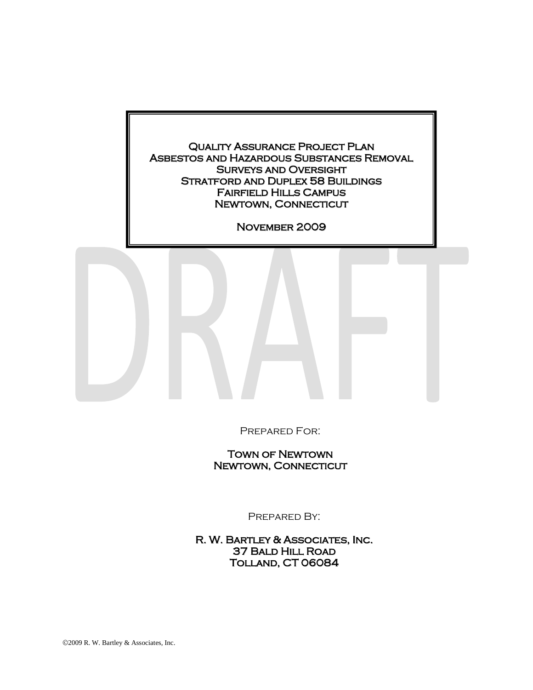

Prepared For:

Town of Newtown Newtown, Connecticut

Prepared By:

R. W. Bartley & Associates, Inc. 37 Bald Hill Road Tolland, CT 06084

2009 R. W. Bartley & Associates, Inc.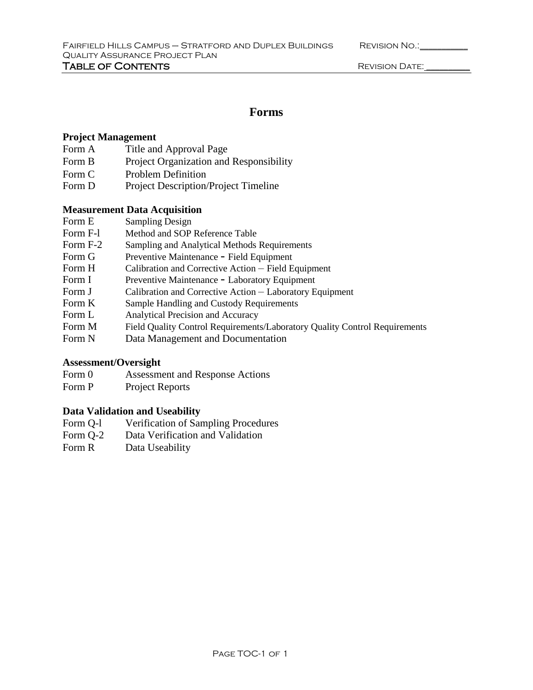| <b>REVISION NO.:</b> |  |
|----------------------|--|
|                      |  |

# **Forms**

# **Project Management**

- Form A Title and Approval Page
- Form B Project Organization and Responsibility
- Form C Problem Definition
- Form D Project Description/Project Timeline

### **Measurement Data Acquisition**

- Form E Sampling Design
- Form F-l Method and SOP Reference Table
- Form F-2 Sampling and Analytical Methods Requirements
- Form G Preventive Maintenance Field Equipment
- Form H Calibration and Corrective Action Field Equipment
- Form I Preventive Maintenance Laboratory Equipment
- Form J Calibration and Corrective Action Laboratory Equipment
- Form K Sample Handling and Custody Requirements
- Form L Analytical Precision and Accuracy
- Form M Field Quality Control Requirements/Laboratory Quality Control Requirements
- Form N Data Management and Documentation

# **Assessment/Oversight**

- Form 0 Assessment and Response Actions
- Form P Project Reports

# **Data Validation and Useability**

- Form Q-l Verification of Sampling Procedures
- Form Q-2 Data Verification and Validation
- Form R Data Useability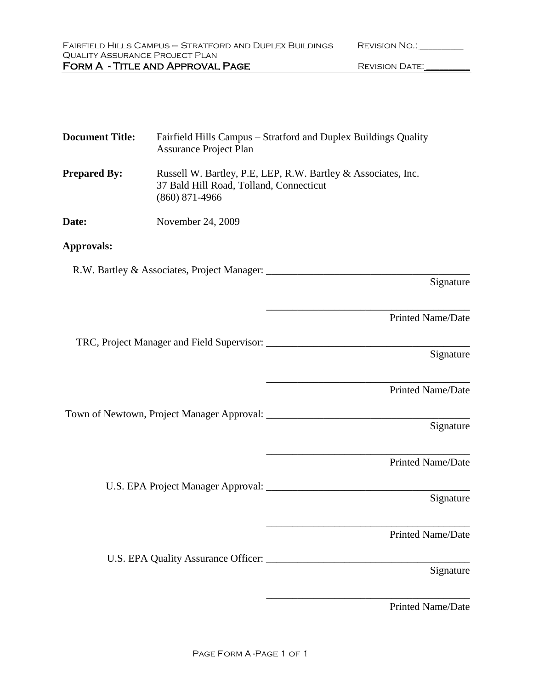| FAIRFIELD HILLS CAMPUS - STRATFORD AND DUPLEX BUILDINGS | REVISION NO.:  |
|---------------------------------------------------------|----------------|
| QUALITY ASSURANCE PROJECT PLAN                          |                |
| FORM A - TITLE AND APPROVAL PAGE                        | REVISION DATE: |
|                                                         |                |

| <b>Document Title:</b> | Fairfield Hills Campus - Stratford and Duplex Buildings Quality<br><b>Assurance Project Plan</b>                             |
|------------------------|------------------------------------------------------------------------------------------------------------------------------|
| <b>Prepared By:</b>    | Russell W. Bartley, P.E. LEP, R.W. Bartley & Associates, Inc.<br>37 Bald Hill Road, Tolland, Connecticut<br>$(860)$ 871-4966 |
| Date:                  | November 24, 2009                                                                                                            |
| Approvals:             |                                                                                                                              |
|                        | Signature                                                                                                                    |
|                        | <b>Printed Name/Date</b>                                                                                                     |
|                        | Signature                                                                                                                    |
|                        | Printed Name/Date                                                                                                            |
|                        | Signature                                                                                                                    |
|                        | Printed Name/Date                                                                                                            |
|                        | Signature                                                                                                                    |
|                        | <b>Printed Name/Date</b>                                                                                                     |
|                        | Signature                                                                                                                    |
|                        |                                                                                                                              |

Printed Name/Date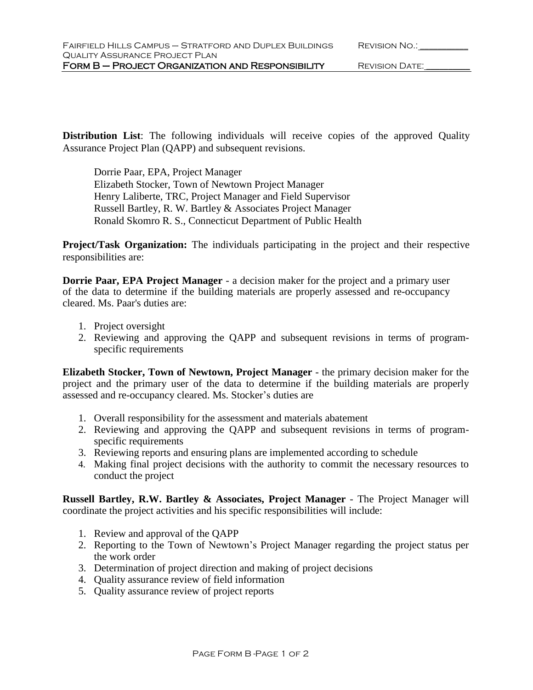**Distribution List**: The following individuals will receive copies of the approved Quality Assurance Project Plan (QAPP) and subsequent revisions.

Dorrie Paar, EPA, Project Manager Elizabeth Stocker, Town of Newtown Project Manager Henry Laliberte, TRC, Project Manager and Field Supervisor Russell Bartley, R. W. Bartley & Associates Project Manager Ronald Skomro R. S., Connecticut Department of Public Health

**Project/Task Organization:** The individuals participating in the project and their respective responsibilities are:

**Dorrie Paar, EPA Project Manager** - a decision maker for the project and a primary user of the data to determine if the building materials are properly assessed and re-occupancy cleared. Ms. Paar's duties are:

- 1. Project oversight
- 2. Reviewing and approving the QAPP and subsequent revisions in terms of programspecific requirements

**Elizabeth Stocker, Town of Newtown, Project Manager** - the primary decision maker for the project and the primary user of the data to determine if the building materials are properly assessed and re-occupancy cleared. Ms. Stocker's duties are

- 1. Overall responsibility for the assessment and materials abatement
- 2. Reviewing and approving the QAPP and subsequent revisions in terms of programspecific requirements
- 3. Reviewing reports and ensuring plans are implemented according to schedule
- 4. Making final project decisions with the authority to commit the necessary resources to conduct the project

**Russell Bartley, R.W. Bartley & Associates, Project Manager** - The Project Manager will coordinate the project activities and his specific responsibilities will include:

- 1. Review and approval of the QAPP
- 2. Reporting to the Town of Newtown's Project Manager regarding the project status per the work order
- 3. Determination of project direction and making of project decisions
- 4. Quality assurance review of field information
- 5. Quality assurance review of project reports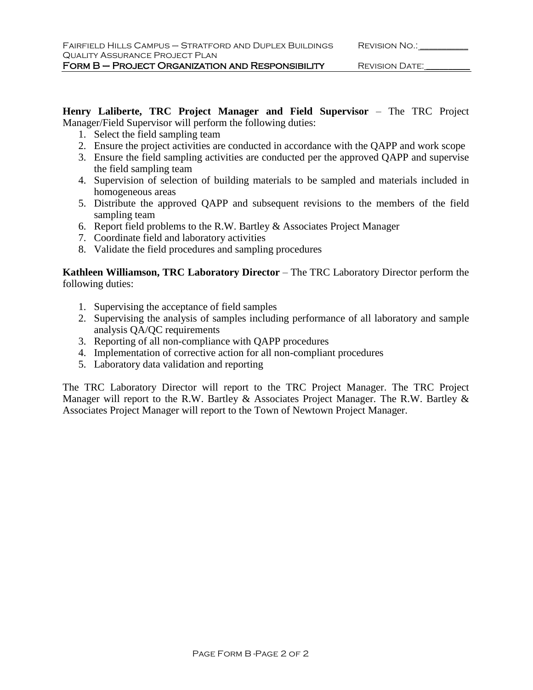FORM B – PROJECT ORGANIZATION AND RESPONSIBILITY REVISION DATE: \_\_\_\_\_\_\_\_\_\_\_\_\_\_\_\_

**Henry Laliberte, TRC Project Manager and Field Supervisor** – The TRC Project Manager/Field Supervisor will perform the following duties:

- 1. Select the field sampling team
- 2. Ensure the project activities are conducted in accordance with the QAPP and work scope
- 3. Ensure the field sampling activities are conducted per the approved QAPP and supervise the field sampling team
- 4. Supervision of selection of building materials to be sampled and materials included in homogeneous areas
- 5. Distribute the approved QAPP and subsequent revisions to the members of the field sampling team
- 6. Report field problems to the R.W. Bartley & Associates Project Manager
- 7. Coordinate field and laboratory activities
- 8. Validate the field procedures and sampling procedures

**Kathleen Williamson, TRC Laboratory Director** – The TRC Laboratory Director perform the following duties:

- 1. Supervising the acceptance of field samples
- 2. Supervising the analysis of samples including performance of all laboratory and sample analysis QA/QC requirements
- 3. Reporting of all non-compliance with QAPP procedures
- 4. Implementation of corrective action for all non-compliant procedures
- 5. Laboratory data validation and reporting

The TRC Laboratory Director will report to the TRC Project Manager. The TRC Project Manager will report to the R.W. Bartley & Associates Project Manager. The R.W. Bartley & Associates Project Manager will report to the Town of Newtown Project Manager.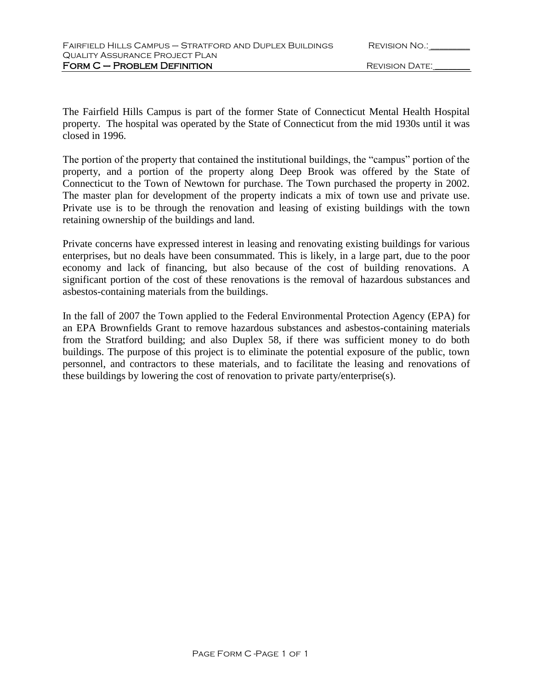The Fairfield Hills Campus is part of the former State of Connecticut Mental Health Hospital property. The hospital was operated by the State of Connecticut from the mid 1930s until it was closed in 1996.

The portion of the property that contained the institutional buildings, the "campus" portion of the property, and a portion of the property along Deep Brook was offered by the State of Connecticut to the Town of Newtown for purchase. The Town purchased the property in 2002. The master plan for development of the property indicats a mix of town use and private use. Private use is to be through the renovation and leasing of existing buildings with the town retaining ownership of the buildings and land.

Private concerns have expressed interest in leasing and renovating existing buildings for various enterprises, but no deals have been consummated. This is likely, in a large part, due to the poor economy and lack of financing, but also because of the cost of building renovations. A significant portion of the cost of these renovations is the removal of hazardous substances and asbestos-containing materials from the buildings.

In the fall of 2007 the Town applied to the Federal Environmental Protection Agency (EPA) for an EPA Brownfields Grant to remove hazardous substances and asbestos-containing materials from the Stratford building; and also Duplex 58, if there was sufficient money to do both buildings. The purpose of this project is to eliminate the potential exposure of the public, town personnel, and contractors to these materials, and to facilitate the leasing and renovations of these buildings by lowering the cost of renovation to private party/enterprise(s).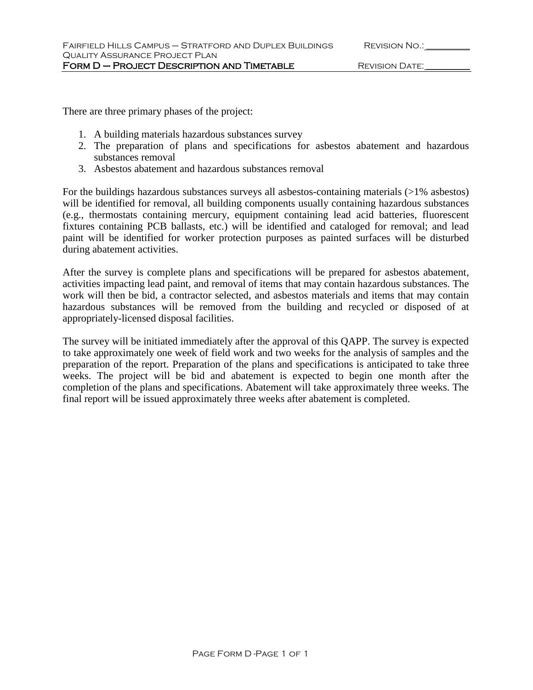There are three primary phases of the project:

- 1. A building materials hazardous substances survey
- 2. The preparation of plans and specifications for asbestos abatement and hazardous substances removal
- 3. Asbestos abatement and hazardous substances removal

For the buildings hazardous substances surveys all asbestos-containing materials (>1% asbestos) will be identified for removal, all building components usually containing hazardous substances (e.g., thermostats containing mercury, equipment containing lead acid batteries, fluorescent fixtures containing PCB ballasts, etc.) will be identified and cataloged for removal; and lead paint will be identified for worker protection purposes as painted surfaces will be disturbed during abatement activities.

After the survey is complete plans and specifications will be prepared for asbestos abatement, activities impacting lead paint, and removal of items that may contain hazardous substances. The work will then be bid, a contractor selected, and asbestos materials and items that may contain hazardous substances will be removed from the building and recycled or disposed of at appropriately-licensed disposal facilities.

The survey will be initiated immediately after the approval of this QAPP. The survey is expected to take approximately one week of field work and two weeks for the analysis of samples and the preparation of the report. Preparation of the plans and specifications is anticipated to take three weeks. The project will be bid and abatement is expected to begin one month after the completion of the plans and specifications. Abatement will take approximately three weeks. The final report will be issued approximately three weeks after abatement is completed.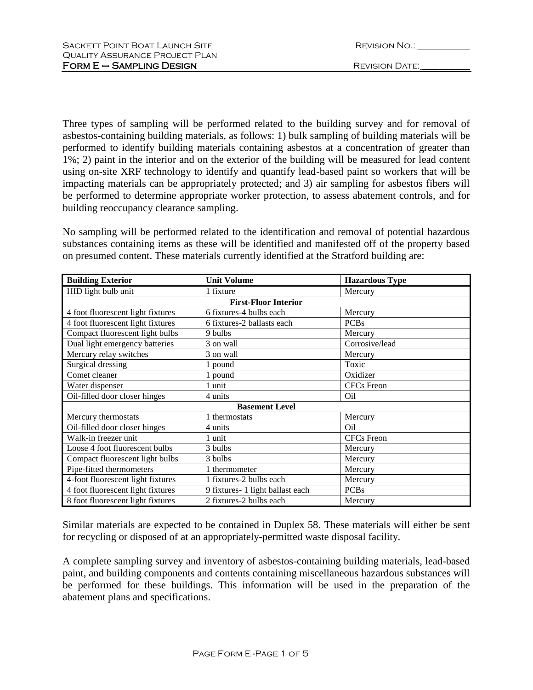| SACKETT POINT BOAT LAUNCH SITE        | REVISION NO.:  |
|---------------------------------------|----------------|
| <b>QUALITY ASSURANCE PROJECT PLAN</b> |                |
| $FORM E - SAMPLING DESIGN$            | REVISION DATE: |

| <b>REVISION NO.:</b> |
|----------------------|
|                      |
|                      |

Three types of sampling will be performed related to the building survey and for removal of asbestos-containing building materials, as follows: 1) bulk sampling of building materials will be performed to identify building materials containing asbestos at a concentration of greater than 1%; 2) paint in the interior and on the exterior of the building will be measured for lead content using on-site XRF technology to identify and quantify lead-based paint so workers that will be impacting materials can be appropriately protected; and 3) air sampling for asbestos fibers will be performed to determine appropriate worker protection, to assess abatement controls, and for building reoccupancy clearance sampling.

No sampling will be performed related to the identification and removal of potential hazardous substances containing items as these will be identified and manifested off of the property based on presumed content. These materials currently identified at the Stratford building are:

| <b>Building Exterior</b>          | <b>Unit Volume</b>               | <b>Hazardous Type</b> |
|-----------------------------------|----------------------------------|-----------------------|
| HID light bulb unit               | 1 fixture                        | Mercury               |
|                                   | <b>First-Floor Interior</b>      |                       |
| 4 foot fluorescent light fixtures | 6 fixtures-4 bulbs each          | Mercury               |
| 4 foot fluorescent light fixtures | 6 fixtures-2 ballasts each       | <b>PCBs</b>           |
| Compact fluorescent light bulbs   | 9 bulbs                          | Mercury               |
| Dual light emergency batteries    | 3 on wall                        | Corrosive/lead        |
| Mercury relay switches            | 3 on wall                        | Mercury               |
| Surgical dressing                 | 1 pound                          | Toxic                 |
| Comet cleaner                     | 1 pound                          | Oxidizer              |
| Water dispenser                   | 1 unit                           | <b>CFCs</b> Freon     |
| Oil-filled door closer hinges     | 4 units                          | Oil                   |
|                                   | <b>Basement Level</b>            |                       |
| Mercury thermostats               | 1 thermostats                    | Mercury               |
| Oil-filled door closer hinges     | 4 units                          | Oil                   |
| Walk-in freezer unit              | 1 unit                           | <b>CFCs</b> Freon     |
| Loose 4 foot fluorescent bulbs    | 3 bulbs                          | Mercury               |
| Compact fluorescent light bulbs   | 3 bulbs                          | Mercury               |
| Pipe-fitted thermometers          | 1 thermometer                    | Mercury               |
| 4-foot fluorescent light fixtures | 1 fixtures-2 bulbs each          | Mercury               |
| 4 foot fluorescent light fixtures | 9 fixtures- 1 light ballast each | <b>PCBs</b>           |
| 8 foot fluorescent light fixtures | 2 fixtures-2 bulbs each          | Mercury               |

Similar materials are expected to be contained in Duplex 58. These materials will either be sent for recycling or disposed of at an appropriately-permitted waste disposal facility.

A complete sampling survey and inventory of asbestos-containing building materials, lead-based paint, and building components and contents containing miscellaneous hazardous substances will be performed for these buildings. This information will be used in the preparation of the abatement plans and specifications.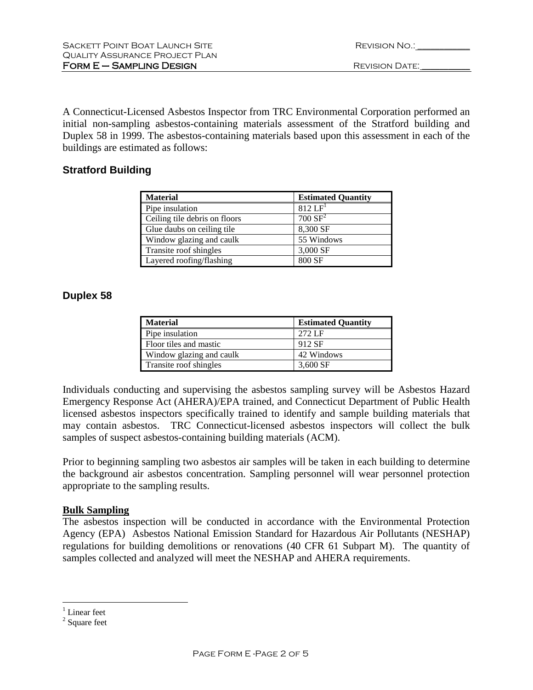| REVISION NO.: |  |
|---------------|--|
|               |  |

A Connecticut-Licensed Asbestos Inspector from TRC Environmental Corporation performed an initial non-sampling asbestos-containing materials assessment of the Stratford building and Duplex 58 in 1999. The asbestos-containing materials based upon this assessment in each of the buildings are estimated as follows:

# **Stratford Building**

| <b>Material</b>               | <b>Estimated Quantity</b> |
|-------------------------------|---------------------------|
| Pipe insulation               | $812 \overline{LF}$       |
| Ceiling tile debris on floors | 700 SF <sup>2</sup>       |
| Glue daubs on ceiling tile    | 8,300 SF                  |
| Window glazing and caulk      | 55 Windows                |
| Transite roof shingles        | 3,000 SF                  |
| Layered roofing/flashing      | 800 SF                    |

# **Duplex 58**

| <b>Material</b>          | <b>Estimated Quantity</b> |
|--------------------------|---------------------------|
| Pipe insulation          | 272 LF                    |
| Floor tiles and mastic   | 912 SF                    |
| Window glazing and caulk | 42 Windows                |
| Transite roof shingles   | 3.600 SF                  |

Individuals conducting and supervising the asbestos sampling survey will be Asbestos Hazard Emergency Response Act (AHERA)/EPA trained, and Connecticut Department of Public Health licensed asbestos inspectors specifically trained to identify and sample building materials that may contain asbestos. TRC Connecticut-licensed asbestos inspectors will collect the bulk samples of suspect asbestos-containing building materials (ACM).

Prior to beginning sampling two asbestos air samples will be taken in each building to determine the background air asbestos concentration. Sampling personnel will wear personnel protection appropriate to the sampling results.

# **Bulk Sampling**

The asbestos inspection will be conducted in accordance with the Environmental Protection Agency (EPA) Asbestos National Emission Standard for Hazardous Air Pollutants (NESHAP) regulations for building demolitions or renovations (40 CFR 61 Subpart M). The quantity of samples collected and analyzed will meet the NESHAP and AHERA requirements.

 $\overline{a}$ 

 $<sup>1</sup>$  Linear feet</sup>

<sup>&</sup>lt;sup>2</sup> Square feet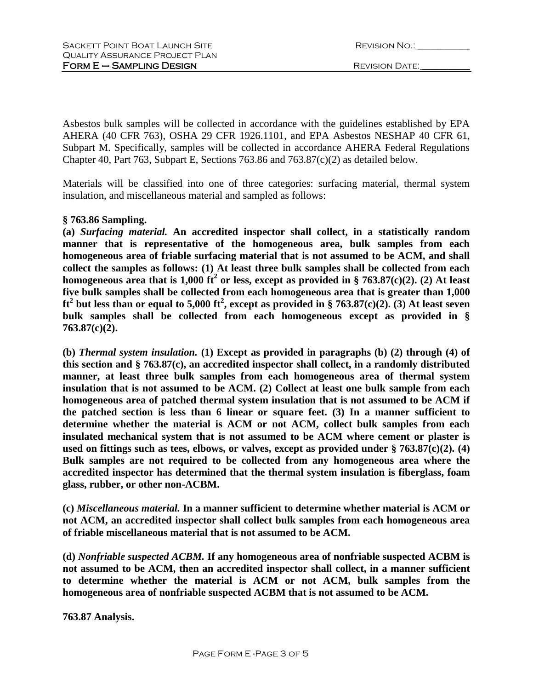| REVISION NO.: |  |
|---------------|--|
|               |  |

Asbestos bulk samples will be collected in accordance with the guidelines established by EPA AHERA (40 CFR 763), OSHA 29 CFR 1926.1101, and EPA Asbestos NESHAP 40 CFR 61, Subpart M. Specifically, samples will be collected in accordance AHERA Federal Regulations Chapter 40, Part 763, Subpart E, Sections 763.86 and 763.87(c)(2) as detailed below.

Materials will be classified into one of three categories: surfacing material, thermal system insulation, and miscellaneous material and sampled as follows:

# **§ 763.86 Sampling.**

**(a)** *Surfacing material.* **An accredited inspector shall collect, in a statistically random manner that is representative of the homogeneous area, bulk samples from each homogeneous area of friable surfacing material that is not assumed to be ACM, and shall collect the samples as follows: (1) At least three bulk samples shall be collected from each homogeneous area that is 1,000 ft<sup>2</sup> or less, except as provided in § 763.87(c)(2). (2) At least five bulk samples shall be collected from each homogeneous area that is greater than 1,000**   $ft^2$  but less than or equal to 5,000  $ft^2$ , except as provided in § 763.87(c)(2). (3) At least seven **bulk samples shall be collected from each homogeneous except as provided in § 763.87(c)(2).**

**(b)** *Thermal system insulation.* **(1) Except as provided in paragraphs (b) (2) through (4) of this section and § 763.87(c), an accredited inspector shall collect, in a randomly distributed manner, at least three bulk samples from each homogeneous area of thermal system insulation that is not assumed to be ACM. (2) Collect at least one bulk sample from each homogeneous area of patched thermal system insulation that is not assumed to be ACM if the patched section is less than 6 linear or square feet. (3) In a manner sufficient to determine whether the material is ACM or not ACM, collect bulk samples from each insulated mechanical system that is not assumed to be ACM where cement or plaster is used on fittings such as tees, elbows, or valves, except as provided under § 763.87(c)(2). (4) Bulk samples are not required to be collected from any homogeneous area where the accredited inspector has determined that the thermal system insulation is fiberglass, foam glass, rubber, or other non-ACBM.**

**(c)** *Miscellaneous material.* **In a manner sufficient to determine whether material is ACM or not ACM, an accredited inspector shall collect bulk samples from each homogeneous area of friable miscellaneous material that is not assumed to be ACM.**

**(d)** *Nonfriable suspected ACBM.* **If any homogeneous area of nonfriable suspected ACBM is not assumed to be ACM, then an accredited inspector shall collect, in a manner sufficient to determine whether the material is ACM or not ACM, bulk samples from the homogeneous area of nonfriable suspected ACBM that is not assumed to be ACM.**

**763.87 Analysis.**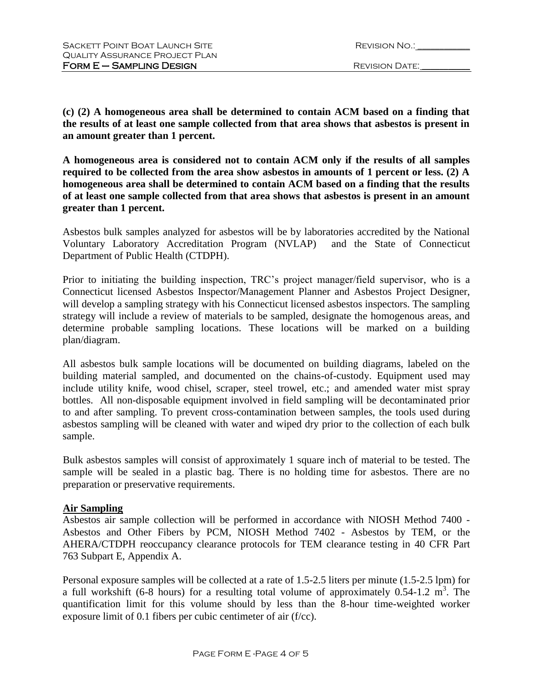| REVISION NO.: |  |
|---------------|--|
|               |  |

**(c) (2) A homogeneous area shall be determined to contain ACM based on a finding that the results of at least one sample collected from that area shows that asbestos is present in an amount greater than 1 percent.**

**A homogeneous area is considered not to contain ACM only if the results of all samples required to be collected from the area show asbestos in amounts of 1 percent or less. (2) A homogeneous area shall be determined to contain ACM based on a finding that the results of at least one sample collected from that area shows that asbestos is present in an amount greater than 1 percent.** 

Asbestos bulk samples analyzed for asbestos will be by laboratories accredited by the National Voluntary Laboratory Accreditation Program (NVLAP) and the State of Connecticut Department of Public Health (CTDPH).

Prior to initiating the building inspection, TRC's project manager/field supervisor, who is a Connecticut licensed Asbestos Inspector/Management Planner and Asbestos Project Designer, will develop a sampling strategy with his Connecticut licensed asbestos inspectors. The sampling strategy will include a review of materials to be sampled, designate the homogenous areas, and determine probable sampling locations. These locations will be marked on a building plan/diagram.

All asbestos bulk sample locations will be documented on building diagrams, labeled on the building material sampled, and documented on the chains-of-custody. Equipment used may include utility knife, wood chisel, scraper, steel trowel, etc.; and amended water mist spray bottles. All non-disposable equipment involved in field sampling will be decontaminated prior to and after sampling. To prevent cross-contamination between samples, the tools used during asbestos sampling will be cleaned with water and wiped dry prior to the collection of each bulk sample.

Bulk asbestos samples will consist of approximately 1 square inch of material to be tested. The sample will be sealed in a plastic bag. There is no holding time for asbestos. There are no preparation or preservative requirements.

# **Air Sampling**

Asbestos air sample collection will be performed in accordance with NIOSH Method 7400 - Asbestos and Other Fibers by PCM, NIOSH Method 7402 - Asbestos by TEM, or the AHERA/CTDPH reoccupancy clearance protocols for TEM clearance testing in 40 CFR Part 763 Subpart E, Appendix A.

Personal exposure samples will be collected at a rate of 1.5-2.5 liters per minute (1.5-2.5 lpm) for a full workshift (6-8 hours) for a resulting total volume of approximately  $0.54$ -1.2 m<sup>3</sup>. The quantification limit for this volume should by less than the 8-hour time-weighted worker exposure limit of 0.1 fibers per cubic centimeter of air (f/cc).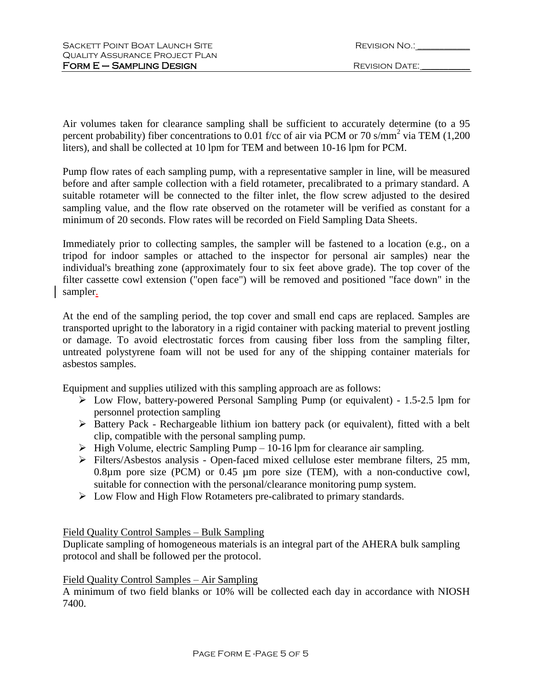| REVISION NO.: |  |
|---------------|--|
|               |  |

Air volumes taken for clearance sampling shall be sufficient to accurately determine (to a 95 percent probability) fiber concentrations to 0.01 f/cc of air via PCM or 70 s/mm<sup>2</sup> via TEM (1,200) liters), and shall be collected at 10 lpm for TEM and between 10-16 lpm for PCM.

Pump flow rates of each sampling pump, with a representative sampler in line, will be measured before and after sample collection with a field rotameter, precalibrated to a primary standard. A suitable rotameter will be connected to the filter inlet, the flow screw adjusted to the desired sampling value, and the flow rate observed on the rotameter will be verified as constant for a minimum of 20 seconds. Flow rates will be recorded on Field Sampling Data Sheets.

Immediately prior to collecting samples, the sampler will be fastened to a location (e.g., on a tripod for indoor samples or attached to the inspector for personal air samples) near the individual's breathing zone (approximately four to six feet above grade). The top cover of the filter cassette cowl extension ("open face") will be removed and positioned "face down" in the sampler.

At the end of the sampling period, the top cover and small end caps are replaced. Samples are transported upright to the laboratory in a rigid container with packing material to prevent jostling or damage. To avoid electrostatic forces from causing fiber loss from the sampling filter, untreated polystyrene foam will not be used for any of the shipping container materials for asbestos samples.

Equipment and supplies utilized with this sampling approach are as follows:

- Low Flow, battery-powered Personal Sampling Pump (or equivalent) 1.5-2.5 lpm for personnel protection sampling
- Battery Pack Rechargeable lithium ion battery pack (or equivalent), fitted with a belt clip, compatible with the personal sampling pump.
- $\triangleright$  High Volume, electric Sampling Pump 10-16 lpm for clearance air sampling.
- Filters/Asbestos analysis Open-faced mixed cellulose ester membrane filters, 25 mm, 0.8µm pore size (PCM) or 0.45 µm pore size (TEM), with a non-conductive cowl, suitable for connection with the personal/clearance monitoring pump system.
- Low Flow and High Flow Rotameters pre-calibrated to primary standards.

# Field Quality Control Samples – Bulk Sampling

Duplicate sampling of homogeneous materials is an integral part of the AHERA bulk sampling protocol and shall be followed per the protocol.

# Field Quality Control Samples – Air Sampling

A minimum of two field blanks or 10% will be collected each day in accordance with NIOSH 7400.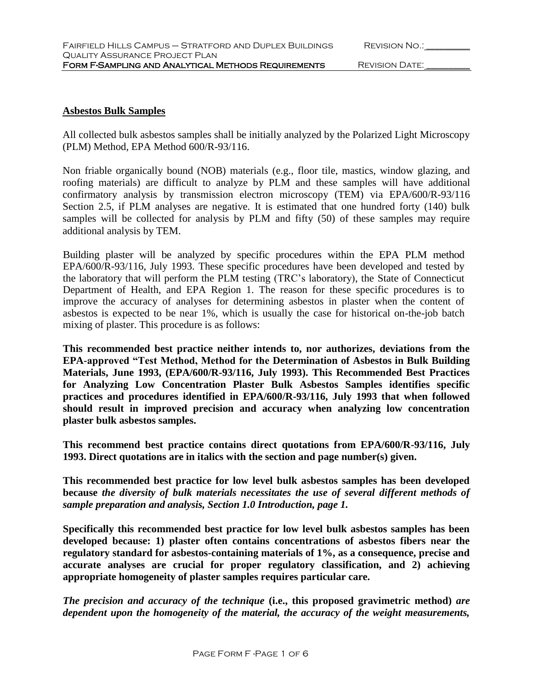#### **Asbestos Bulk Samples**

All collected bulk asbestos samples shall be initially analyzed by the Polarized Light Microscopy (PLM) Method, EPA Method 600/R-93/116.

Non friable organically bound (NOB) materials (e.g., floor tile, mastics, window glazing, and roofing materials) are difficult to analyze by PLM and these samples will have additional confirmatory analysis by transmission electron microscopy (TEM) via EPA/600/R-93/116 Section 2.5, if PLM analyses are negative. It is estimated that one hundred forty (140) bulk samples will be collected for analysis by PLM and fifty (50) of these samples may require additional analysis by TEM.

Building plaster will be analyzed by specific procedures within the EPA PLM method EPA/600/R-93/116, July 1993. These specific procedures have been developed and tested by the laboratory that will perform the PLM testing (TRC's laboratory), the State of Connecticut Department of Health, and EPA Region 1. The reason for these specific procedures is to improve the accuracy of analyses for determining asbestos in plaster when the content of asbestos is expected to be near 1%, which is usually the case for historical on-the-job batch mixing of plaster. This procedure is as follows:

**This recommended best practice neither intends to, nor authorizes, deviations from the EPA-approved "Test Method, Method for the Determination of Asbestos in Bulk Building Materials, June 1993, (EPA/600/R-93/116, July 1993). This Recommended Best Practices for Analyzing Low Concentration Plaster Bulk Asbestos Samples identifies specific practices and procedures identified in EPA/600/R-93/116, July 1993 that when followed should result in improved precision and accuracy when analyzing low concentration plaster bulk asbestos samples.** 

**This recommend best practice contains direct quotations from EPA/600/R-93/116, July 1993. Direct quotations are in italics with the section and page number(s) given.**

**This recommended best practice for low level bulk asbestos samples has been developed because** *the diversity of bulk materials necessitates the use of several different methods of sample preparation and analysis, Section 1.0 Introduction, page 1.*

**Specifically this recommended best practice for low level bulk asbestos samples has been developed because: 1) plaster often contains concentrations of asbestos fibers near the regulatory standard for asbestos-containing materials of 1%, as a consequence, precise and accurate analyses are crucial for proper regulatory classification, and 2) achieving appropriate homogeneity of plaster samples requires particular care.**

*The precision and accuracy of the technique* **(i.e., this proposed gravimetric method)** *are dependent upon the homogeneity of the material, the accuracy of the weight measurements,*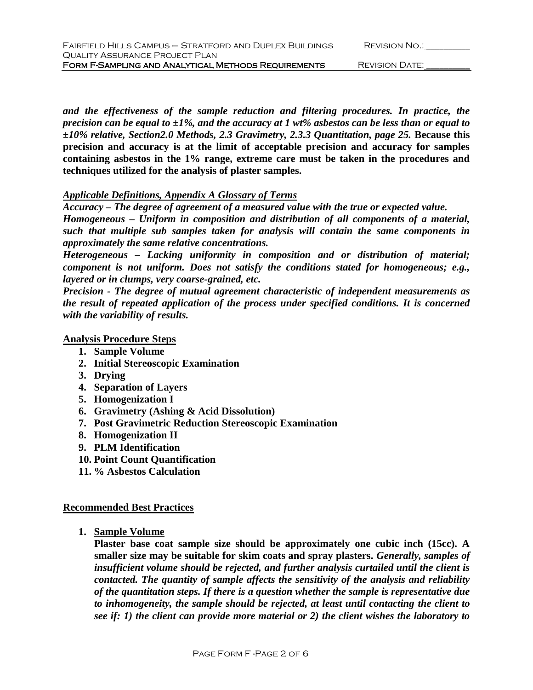| FAIRFIELD HILLS CAMPUS - STRATFORD AND DUPLEX BUILDINGS |
|---------------------------------------------------------|
| QUALITY ASSURANCE PROJECT PLAN                          |
| FORM F-SAMPLING AND ANALYTICAL METHODS REQUIREMENTS     |

REVISION DATE: \_\_\_\_\_\_\_\_\_

*and the effectiveness of the sample reduction and filtering procedures. In practice, the precision can be equal to* **±***1%, and the accuracy at 1 wt% asbestos can be less than or equal to*  **±***10% relative, Section2.0 Methods, 2.3 Gravimetry, 2.3.3 Quantitation, page 25.* **Because this precision and accuracy is at the limit of acceptable precision and accuracy for samples containing asbestos in the 1% range, extreme care must be taken in the procedures and techniques utilized for the analysis of plaster samples.** 

#### *Applicable Definitions, Appendix A Glossary of Terms*

*Accuracy – The degree of agreement of a measured value with the true or expected value. Homogeneous – Uniform in composition and distribution of all components of a material, such that multiple sub samples taken for analysis will contain the same components in approximately the same relative concentrations.*

*Heterogeneous – Lacking uniformity in composition and or distribution of material; component is not uniform. Does not satisfy the conditions stated for homogeneous; e.g., layered or in clumps, very coarse-grained, etc.*

*Precision - The degree of mutual agreement characteristic of independent measurements as the result of repeated application of the process under specified conditions. It is concerned with the variability of results.*

#### **Analysis Procedure Steps**

- **1. Sample Volume**
- **2. Initial Stereoscopic Examination**
- **3. Drying**
- **4. Separation of Layers**
- **5. Homogenization I**
- **6. Gravimetry (Ashing & Acid Dissolution)**
- **7. Post Gravimetric Reduction Stereoscopic Examination**
- **8. Homogenization II**
- **9. PLM Identification**
- **10. Point Count Quantification**
- **11. % Asbestos Calculation**

### **Recommended Best Practices**

**1. Sample Volume**

**Plaster base coat sample size should be approximately one cubic inch (15cc). A smaller size may be suitable for skim coats and spray plasters.** *Generally, samples of insufficient volume should be rejected, and further analysis curtailed until the client is contacted. The quantity of sample affects the sensitivity of the analysis and reliability of the quantitation steps. If there is a question whether the sample is representative due to inhomogeneity, the sample should be rejected, at least until contacting the client to see if: 1) the client can provide more material or 2) the client wishes the laboratory to*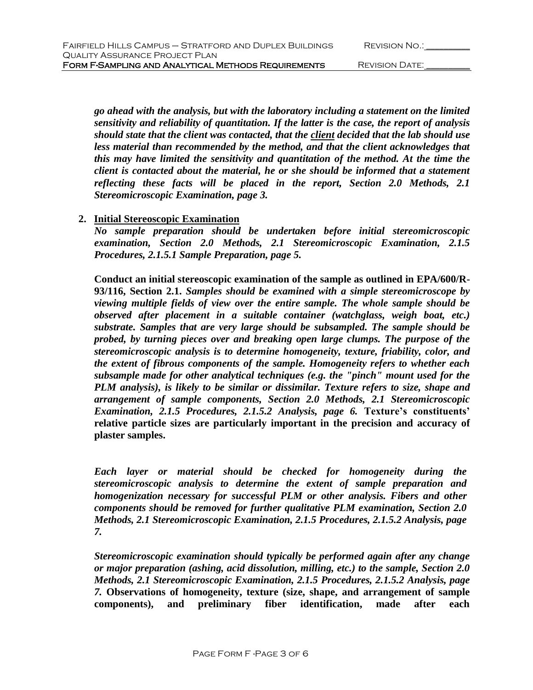| <b>REVISION NO.:</b> |  |
|----------------------|--|
|                      |  |

*go ahead with the analysis, but with the laboratory including a statement on the limited sensitivity and reliability of quantitation. If the latter is the case, the report of analysis should state that the client was contacted, that the client decided that the lab should use*  less material than recommended by the method, and that the client acknowledges that *this may have limited the sensitivity and quantitation of the method. At the time the client is contacted about the material, he or she should be informed that a statement reflecting these facts will be placed in the report, Section 2.0 Methods, 2.1 Stereomicroscopic Examination, page 3.*

# **2. Initial Stereoscopic Examination**

*No sample preparation should be undertaken before initial stereomicroscopic examination, Section 2.0 Methods, 2.1 Stereomicroscopic Examination, 2.1.5 Procedures, 2.1.5.1 Sample Preparation, page 5.*

**Conduct an initial stereoscopic examination of the sample as outlined in EPA/600/R-93/116, Section 2.1.** *Samples should be examined with a simple stereomicroscope by viewing multiple fields of view over the entire sample. The whole sample should be observed after placement in a suitable container (watchglass, weigh boat, etc.) substrate. Samples that are very large should be subsampled. The sample should be probed, by turning pieces over and breaking open large clumps. The purpose of the stereomicroscopic analysis is to determine homogeneity, texture, friability, color, and the extent of fibrous components of the sample. Homogeneity refers to whether each subsample made for other analytical techniques (e.g. the "pinch" mount used for the PLM analysis), is likely to be similar or dissimilar. Texture refers to size, shape and arrangement of sample components, Section 2.0 Methods, 2.1 Stereomicroscopic Examination, 2.1.5 Procedures, 2.1.5.2 Analysis, page 6.* **Texture's constituents' relative particle sizes are particularly important in the precision and accuracy of plaster samples.**

*Each layer or material should be checked for homogeneity during the stereomicroscopic analysis to determine the extent of sample preparation and homogenization necessary for successful PLM or other analysis. Fibers and other components should be removed for further qualitative PLM examination, Section 2.0 Methods, 2.1 Stereomicroscopic Examination, 2.1.5 Procedures, 2.1.5.2 Analysis, page 7.*

*Stereomicroscopic examination should typically be performed again after any change or major preparation (ashing, acid dissolution, milling, etc.) to the sample, Section 2.0 Methods, 2.1 Stereomicroscopic Examination, 2.1.5 Procedures, 2.1.5.2 Analysis, page 7.* **Observations of homogeneity, texture (size, shape, and arrangement of sample components), and preliminary fiber identification, made after each**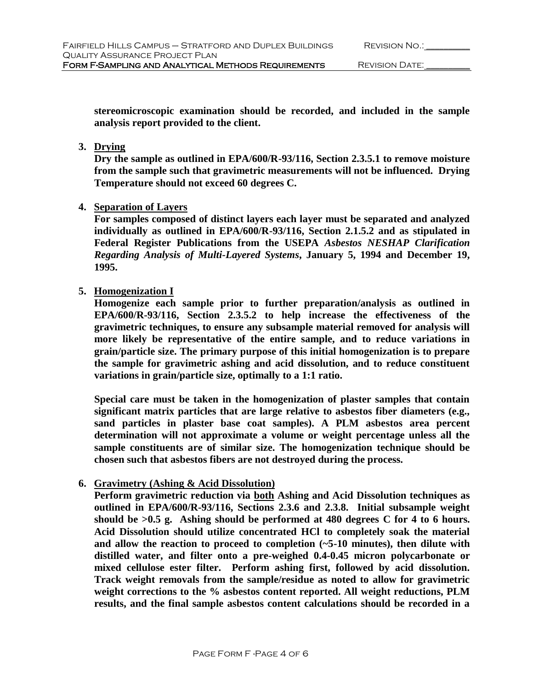**stereomicroscopic examination should be recorded, and included in the sample analysis report provided to the client.**

**3. Drying**

**Dry the sample as outlined in EPA/600/R-93/116, Section 2.3.5.1 to remove moisture from the sample such that gravimetric measurements will not be influenced. Drying Temperature should not exceed 60 degrees C.**

**4. Separation of Layers**

For samples composed of distinct layers each layer must be separated and analyzed **individually as outlined in EPA/600/R-93/116, Section 2.1.5.2 and as stipulated in Federal Register Publications from the USEPA** *Asbestos NESHAP Clarification Regarding Analysis of Multi-Layered Systems***, January 5, 1994 and December 19, 1995.**

**5. Homogenization I**

**Homogenize each sample prior to further preparation/analysis as outlined in EPA/600/R-93/116, Section 2.3.5.2 to help increase the effectiveness of the gravimetric techniques, to ensure any subsample material removed for analysis will more likely be representative of the entire sample, and to reduce variations in grain/particle size. The primary purpose of this initial homogenization is to prepare the sample for gravimetric ashing and acid dissolution, and to reduce constituent variations in grain/particle size, optimally to a 1:1 ratio.**

**Special care must be taken in the homogenization of plaster samples that contain significant matrix particles that are large relative to asbestos fiber diameters (e.g., sand particles in plaster base coat samples). A PLM asbestos area percent determination will not approximate a volume or weight percentage unless all the sample constituents are of similar size. The homogenization technique should be chosen such that asbestos fibers are not destroyed during the process.**

# **6. Gravimetry (Ashing & Acid Dissolution)**

**Perform gravimetric reduction via both Ashing and Acid Dissolution techniques as outlined in EPA/600/R-93/116, Sections 2.3.6 and 2.3.8. Initial subsample weight should be >0.5 g. Ashing should be performed at 480 degrees C for 4 to 6 hours. Acid Dissolution should utilize concentrated HCl to completely soak the material and allow the reaction to proceed to completion (~5-10 minutes), then dilute with distilled water, and filter onto a pre-weighed 0.4-0.45 micron polycarbonate or mixed cellulose ester filter. Perform ashing first, followed by acid dissolution. Track weight removals from the sample/residue as noted to allow for gravimetric weight corrections to the % asbestos content reported. All weight reductions, PLM results, and the final sample asbestos content calculations should be recorded in a**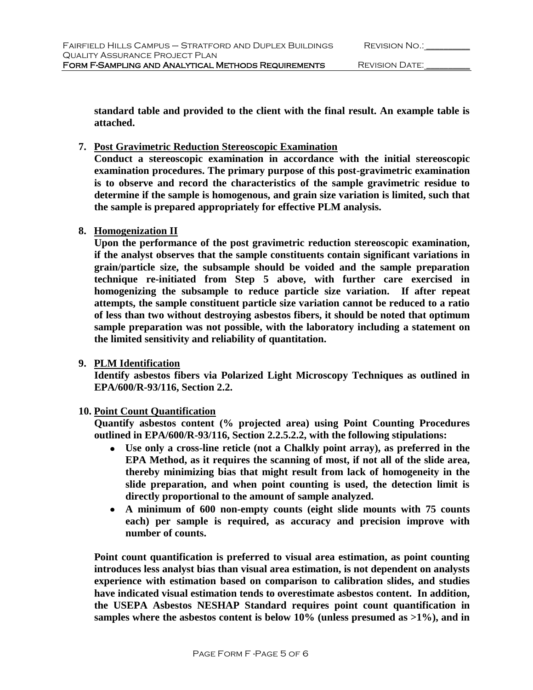**standard table and provided to the client with the final result. An example table is attached.**

## **7. Post Gravimetric Reduction Stereoscopic Examination**

**Conduct a stereoscopic examination in accordance with the initial stereoscopic examination procedures. The primary purpose of this post-gravimetric examination is to observe and record the characteristics of the sample gravimetric residue to determine if the sample is homogenous, and grain size variation is limited, such that the sample is prepared appropriately for effective PLM analysis.**

## **8. Homogenization II**

**Upon the performance of the post gravimetric reduction stereoscopic examination, if the analyst observes that the sample constituents contain significant variations in grain/particle size, the subsample should be voided and the sample preparation technique re-initiated from Step 5 above, with further care exercised in homogenizing the subsample to reduce particle size variation. If after repeat attempts, the sample constituent particle size variation cannot be reduced to a ratio of less than two without destroying asbestos fibers, it should be noted that optimum sample preparation was not possible, with the laboratory including a statement on the limited sensitivity and reliability of quantitation.**

### **9. PLM Identification**

**Identify asbestos fibers via Polarized Light Microscopy Techniques as outlined in EPA/600/R-93/116, Section 2.2.**

# **10. Point Count Quantification**

**Quantify asbestos content (% projected area) using Point Counting Procedures outlined in EPA/600/R-93/116, Section 2.2.5.2.2, with the following stipulations:**

- **Use only a cross-line reticle (not a Chalkly point array), as preferred in the EPA Method, as it requires the scanning of most, if not all of the slide area, thereby minimizing bias that might result from lack of homogeneity in the slide preparation, and when point counting is used, the detection limit is directly proportional to the amount of sample analyzed.**
- **A minimum of 600 non-empty counts (eight slide mounts with 75 counts each) per sample is required, as accuracy and precision improve with number of counts.**

**Point count quantification is preferred to visual area estimation, as point counting introduces less analyst bias than visual area estimation, is not dependent on analysts experience with estimation based on comparison to calibration slides, and studies have indicated visual estimation tends to overestimate asbestos content. In addition, the USEPA Asbestos NESHAP Standard requires point count quantification in samples where the asbestos content is below 10% (unless presumed as >1%), and in**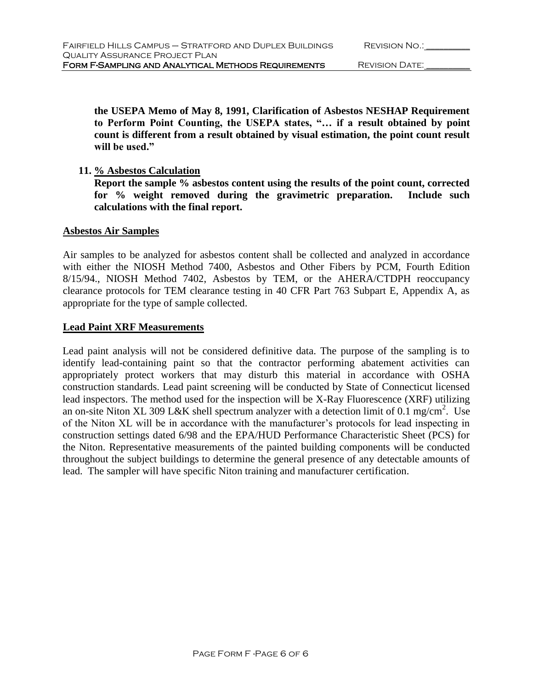**the USEPA Memo of May 8, 1991, Clarification of Asbestos NESHAP Requirement to Perform Point Counting, the USEPA states, "… if a result obtained by point count is different from a result obtained by visual estimation, the point count result will be used."**

## **11. % Asbestos Calculation**

**Report the sample % asbestos content using the results of the point count, corrected for % weight removed during the gravimetric preparation. Include such calculations with the final report.**

### **Asbestos Air Samples**

Air samples to be analyzed for asbestos content shall be collected and analyzed in accordance with either the NIOSH Method 7400, Asbestos and Other Fibers by PCM, Fourth Edition 8/15/94., NIOSH Method 7402, Asbestos by TEM, or the AHERA/CTDPH reoccupancy clearance protocols for TEM clearance testing in 40 CFR Part 763 Subpart E, Appendix A, as appropriate for the type of sample collected.

## **Lead Paint XRF Measurements**

Lead paint analysis will not be considered definitive data. The purpose of the sampling is to identify lead-containing paint so that the contractor performing abatement activities can appropriately protect workers that may disturb this material in accordance with OSHA construction standards. Lead paint screening will be conducted by State of Connecticut licensed lead inspectors. The method used for the inspection will be X-Ray Fluorescence (XRF) utilizing an on-site Niton XL 309 L&K shell spectrum analyzer with a detection limit of 0.1 mg/cm<sup>2</sup>. Use of the Niton XL will be in accordance with the manufacturer's protocols for lead inspecting in construction settings dated 6/98 and the EPA/HUD Performance Characteristic Sheet (PCS) for the Niton. Representative measurements of the painted building components will be conducted throughout the subject buildings to determine the general presence of any detectable amounts of lead. The sampler will have specific Niton training and manufacturer certification.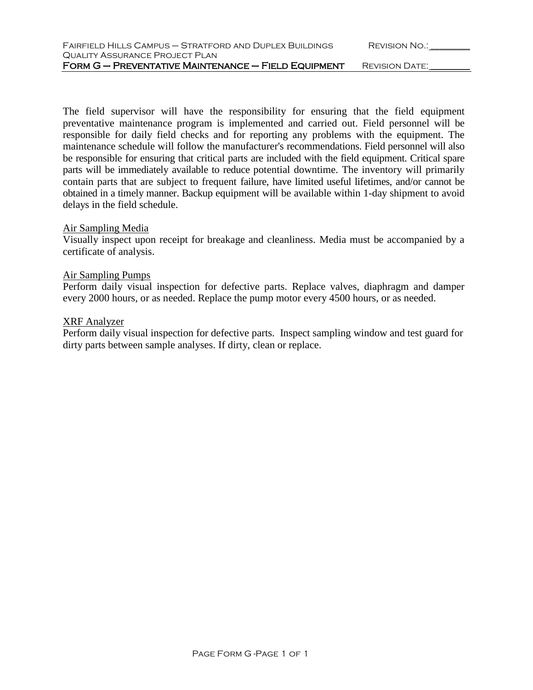| FAIRFIELD HILLS CAMPUS — STRATFORD AND DUPLEX BUILDINGS | REVISION NO.:  |  |
|---------------------------------------------------------|----------------|--|
| QUALITY ASSURANCE PROJECT PLAN                          |                |  |
| FORM G - PREVENTATIVE MAINTENANCE - FIELD EQUIPMENT     | REVISION DATE: |  |

The field supervisor will have the responsibility for ensuring that the field equipment preventative maintenance program is implemented and carried out. Field personnel will be responsible for daily field checks and for reporting any problems with the equipment. The maintenance schedule will follow the manufacturer's recommendations. Field personnel will also be responsible for ensuring that critical parts are included with the field equipment. Critical spare parts will be immediately available to reduce potential downtime. The inventory will primarily contain parts that are subject to frequent failure, have limited useful lifetimes, and/or cannot be obtained in a timely manner. Backup equipment will be available within 1-day shipment to avoid delays in the field schedule.

#### Air Sampling Media

Visually inspect upon receipt for breakage and cleanliness. Media must be accompanied by a certificate of analysis.

#### Air Sampling Pumps

Perform daily visual inspection for defective parts. Replace valves, diaphragm and damper every 2000 hours, or as needed. Replace the pump motor every 4500 hours, or as needed.

#### XRF Analyzer

Perform daily visual inspection for defective parts. Inspect sampling window and test guard for dirty parts between sample analyses. If dirty, clean or replace.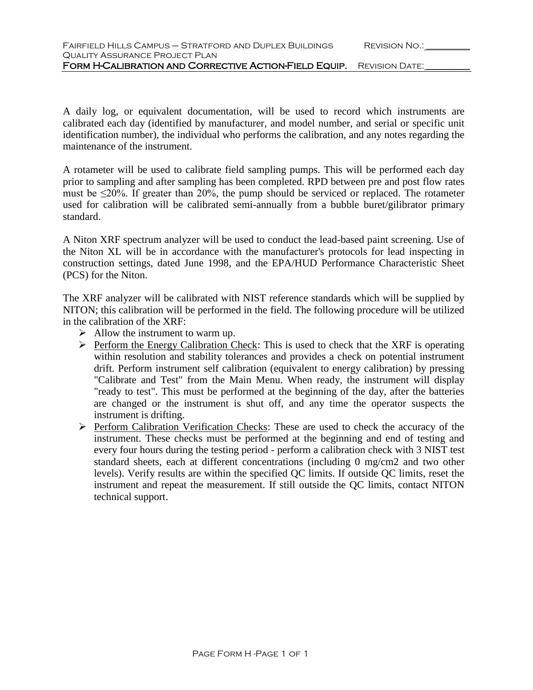A daily log, or equivalent documentation, will be used to record which instruments are calibrated each day (identified by manufacturer, and model number, and serial or specific unit identification number), the individual who performs the calibration, and any notes regarding the maintenance of the instrument.

A rotameter will be used to calibrate field sampling pumps. This will be performed each day prior to sampling and after sampling has been completed. RPD between pre and post flow rates must be  $\leq$ 20%. If greater than 20%, the pump should be serviced or replaced. The rotameter used for calibration will be calibrated semi-annually from a bubble buret/gilibrator primary standard.

A Niton XRF spectrum analyzer will be used to conduct the lead-based paint screening. Use of the Niton XL will be in accordance with the manufacturer's protocols for lead inspecting in construction settings, dated June 1998, and the EPA/HUD Performance Characteristic Sheet (PCS) for the Niton.

The XRF analyzer will be calibrated with NIST reference standards which will be supplied by NITON; this calibration will be performed in the field. The following procedure will be utilized in the calibration of the XRF:

- $\triangleright$  Allow the instrument to warm up.
- $\triangleright$  Perform the Energy Calibration Check: This is used to check that the XRF is operating within resolution and stability tolerances and provides a check on potential instrument drift. Perform instrument self calibration (equivalent to energy calibration) by pressing "Calibrate and Test" from the Main Menu. When ready, the instrument will display "ready to test". This must be performed at the beginning of the day, after the batteries are changed or the instrument is shut off, and any time the operator suspects the instrument is drifting.
- Perform Calibration Verification Checks: These are used to check the accuracy of the instrument. These checks must be performed at the beginning and end of testing and instrument. every four hours during the testing period - perform a calibration check with 3 NIST test standard sheets, each at different concentrations (including 0 mg/cm2 and two other levels). Verify results are within the specified QC limits. If outside QC limits, reset the instrument and repeat the measurement. If still outside the QC limits, contact NITON technical support.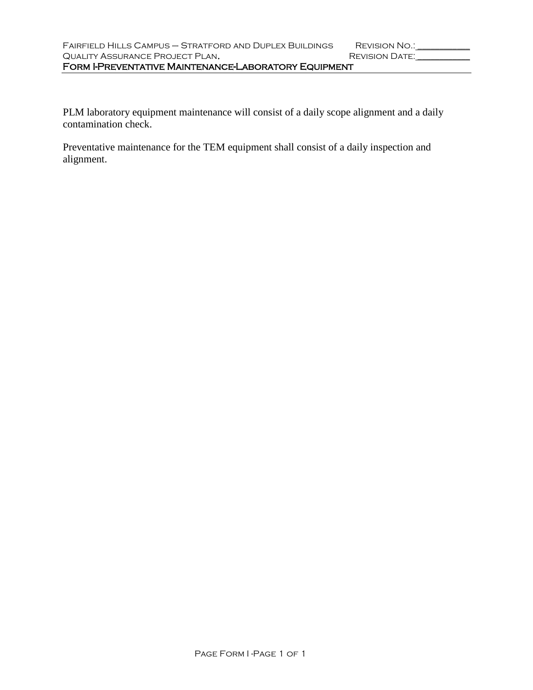PLM laboratory equipment maintenance will consist of a daily scope alignment and a daily contamination check.

Preventative maintenance for the TEM equipment shall consist of a daily inspection and alignment.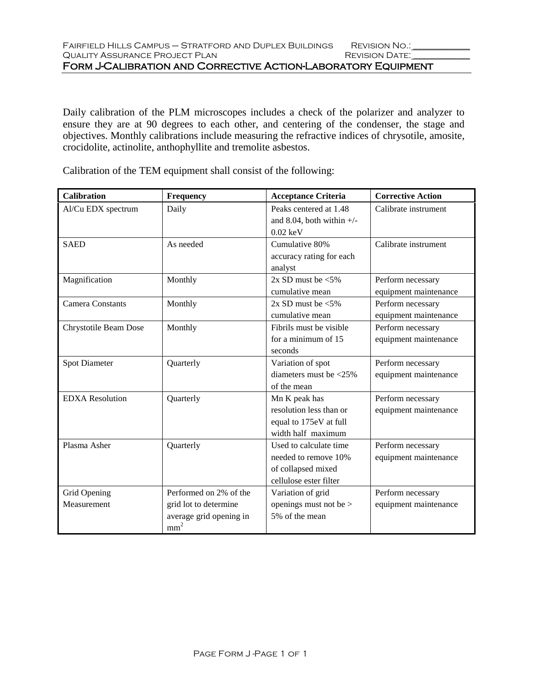Daily calibration of the PLM microscopes includes a check of the polarizer and analyzer to ensure they are at 90 degrees to each other, and centering of the condenser, the stage and objectives. Monthly calibrations include measuring the refractive indices of chrysotile, amosite, crocidolite, actinolite, anthophyllite and tremolite asbestos.

| <b>Calibration</b>      | Frequency               | <b>Acceptance Criteria</b>       | <b>Corrective Action</b> |
|-------------------------|-------------------------|----------------------------------|--------------------------|
| Al/Cu EDX spectrum      | Daily                   | Peaks centered at 1.48           | Calibrate instrument     |
|                         |                         | and 8.04, both within $+/-$      |                          |
|                         |                         | $0.02 \text{ keV}$               |                          |
| <b>SAED</b>             | As needed               | Cumulative 80%                   | Calibrate instrument     |
|                         |                         | accuracy rating for each         |                          |
|                         |                         | analyst                          |                          |
| Magnification           | Monthly                 | $2x$ SD must be $\leq 5\%$       | Perform necessary        |
|                         |                         | cumulative mean                  | equipment maintenance    |
| <b>Camera Constants</b> | Monthly                 | $2x$ SD must be $\leq 5\%$       | Perform necessary        |
|                         |                         | cumulative mean                  | equipment maintenance    |
| Chrystotile Beam Dose   | Monthly                 | Fibrils must be visible          | Perform necessary        |
|                         |                         | for a minimum of 15              | equipment maintenance    |
|                         |                         | seconds                          |                          |
| Spot Diameter           | Quarterly               | Variation of spot                | Perform necessary        |
|                         |                         | diameters must be $\langle 25\%$ | equipment maintenance    |
|                         |                         | of the mean                      |                          |
| <b>EDXA</b> Resolution  | Quarterly               | Mn K peak has                    | Perform necessary        |
|                         |                         | resolution less than or          | equipment maintenance    |
|                         |                         | equal to 175eV at full           |                          |
|                         |                         | width half maximum               |                          |
| Plasma Asher            | Quarterly               | Used to calculate time           | Perform necessary        |
|                         |                         | needed to remove 10%             | equipment maintenance    |
|                         |                         | of collapsed mixed               |                          |
|                         |                         | cellulose ester filter           |                          |
| Grid Opening            | Performed on 2% of the  | Variation of grid                | Perform necessary        |
| Measurement             | grid lot to determine   | openings must not be $>$         | equipment maintenance    |
|                         | average grid opening in | 5% of the mean                   |                          |
|                         | mm <sup>2</sup>         |                                  |                          |

Calibration of the TEM equipment shall consist of the following: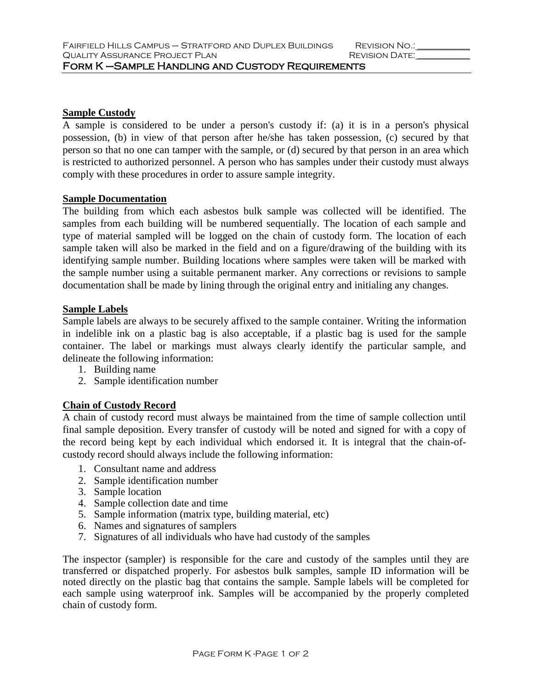## **Sample Custody**

A sample is considered to be under a person's custody if: (a) it is in a person's physical possession, (b) in view of that person after he/she has taken possession, (c) secured by that person so that no one can tamper with the sample, or (d) secured by that person in an area which is restricted to authorized personnel. A person who has samples under their custody must always comply with these procedures in order to assure sample integrity.

## **Sample Documentation**

The building from which each asbestos bulk sample was collected will be identified. The samples from each building will be numbered sequentially. The location of each sample and type of material sampled will be logged on the chain of custody form. The location of each sample taken will also be marked in the field and on a figure/drawing of the building with its identifying sample number. Building locations where samples were taken will be marked with the sample number using a suitable permanent marker. Any corrections or revisions to sample documentation shall be made by lining through the original entry and initialing any changes.

## **Sample Labels**

Sample labels are always to be securely affixed to the sample container. Writing the information in indelible ink on a plastic bag is also acceptable, if a plastic bag is used for the sample container. The label or markings must always clearly identify the particular sample, and delineate the following information:

- 1. Building name
- 2. Sample identification number

# **Chain of Custody Record**

A chain of custody record must always be maintained from the time of sample collection until final sample deposition. Every transfer of custody will be noted and signed for with a copy of the record being kept by each individual which endorsed it. It is integral that the chain-ofcustody record should always include the following information:

- 1. Consultant name and address
- 2. Sample identification number
- 3. Sample location
- 4. Sample collection date and time
- 5. Sample information (matrix type, building material, etc)
- 6. Names and signatures of samplers
- 7. Signatures of all individuals who have had custody of the samples

The inspector (sampler) is responsible for the care and custody of the samples until they are transferred or dispatched properly. For asbestos bulk samples, sample ID information will be noted directly on the plastic bag that contains the sample. Sample labels will be completed for each sample using waterproof ink. Samples will be accompanied by the properly completed chain of custody form.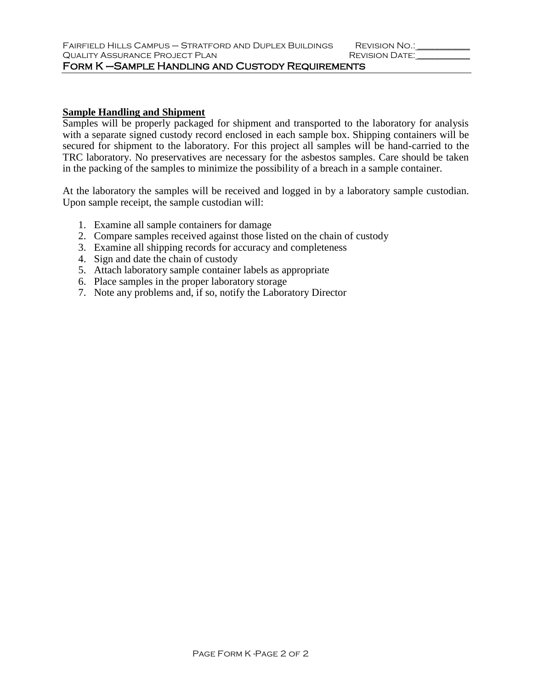## **Sample Handling and Shipment**

Samples will be properly packaged for shipment and transported to the laboratory for analysis with a separate signed custody record enclosed in each sample box. Shipping containers will be secured for shipment to the laboratory. For this project all samples will be hand-carried to the TRC laboratory. No preservatives are necessary for the asbestos samples. Care should be taken in the packing of the samples to minimize the possibility of a breach in a sample container.

At the laboratory the samples will be received and logged in by a laboratory sample custodian. Upon sample receipt, the sample custodian will:

- 1. Examine all sample containers for damage
- 2. Compare samples received against those listed on the chain of custody
- 3. Examine all shipping records for accuracy and completeness
- 4. Sign and date the chain of custody
- 5. Attach laboratory sample container labels as appropriate
- 6. Place samples in the proper laboratory storage
- 7. Note any problems and, if so, notify the Laboratory Director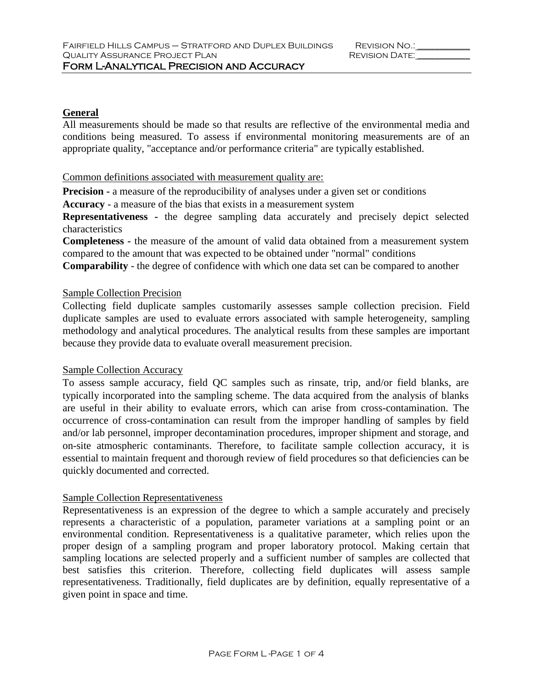# **General**

All measurements should be made so that results are reflective of the environmental media and conditions being measured. To assess if environmental monitoring measurements are of an appropriate quality, "acceptance and/or performance criteria" are typically established.

## Common definitions associated with measurement quality are:

**Precision -** a measure of the reproducibility of analyses under a given set or conditions

**Accuracy** - a measure of the bias that exists in a measurement system

**Representativeness -** the degree sampling data accurately and precisely depict selected characteristics

**Completeness -** the measure of the amount of valid data obtained from a measurement system compared to the amount that was expected to be obtained under "normal" conditions

**Comparability** - the degree of confidence with which one data set can be compared to another

# Sample Collection Precision

Collecting field duplicate samples customarily assesses sample collection precision. Field duplicate samples are used to evaluate errors associated with sample heterogeneity, sampling methodology and analytical procedures. The analytical results from these samples are important because they provide data to evaluate overall measurement precision.

### Sample Collection Accuracy

To assess sample accuracy, field QC samples such as rinsate, trip, and/or field blanks, are typically incorporated into the sampling scheme. The data acquired from the analysis of blanks are useful in their ability to evaluate errors, which can arise from cross-contamination. The occurrence of cross-contamination can result from the improper handling of samples by field and/or lab personnel, improper decontamination procedures, improper shipment and storage, and on-site atmospheric contaminants. Therefore, to facilitate sample collection accuracy, it is essential to maintain frequent and thorough review of field procedures so that deficiencies can be quickly documented and corrected.

# Sample Collection Representativeness

Representativeness is an expression of the degree to which a sample accurately and precisely represents a characteristic of a population, parameter variations at a sampling point or an environmental condition. Representativeness is a qualitative parameter, which relies upon the proper design of a sampling program and proper laboratory protocol. Making certain that sampling locations are selected properly and a sufficient number of samples are collected that best satisfies this criterion. Therefore, collecting field duplicates will assess sample representativeness. Traditionally, field duplicates are by definition, equally representative of a given point in space and time.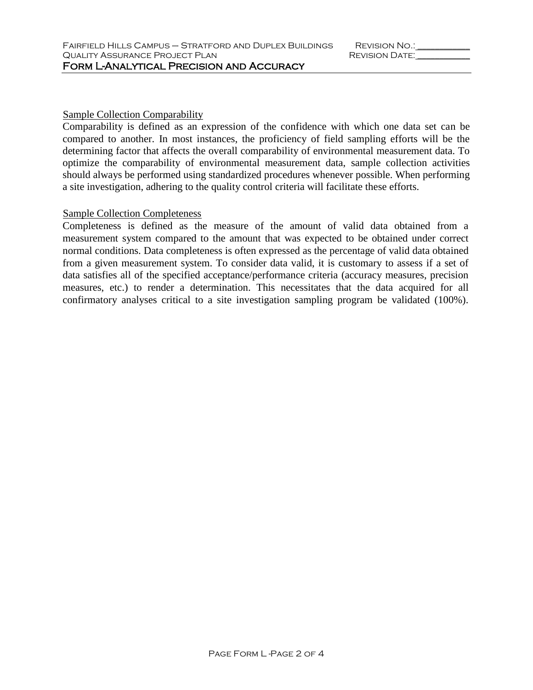## Sample Collection Comparability

Comparability is defined as an expression of the confidence with which one data set can be compared to another. In most instances, the proficiency of field sampling efforts will be the determining factor that affects the overall comparability of environmental measurement data. To optimize the comparability of environmental measurement data, sample collection activities should always be performed using standardized procedures whenever possible. When performing a site investigation, adhering to the quality control criteria will facilitate these efforts.

## Sample Collection Completeness

Completeness is defined as the measure of the amount of valid data obtained from a measurement system compared to the amount that was expected to be obtained under correct normal conditions. Data completeness is often expressed as the percentage of valid data obtained from a given measurement system. To consider data valid, it is customary to assess if a set of data satisfies all of the specified acceptance/performance criteria (accuracy measures, precision measures, etc.) to render a determination. This necessitates that the data acquired for all confirmatory analyses critical to a site investigation sampling program be validated (100%).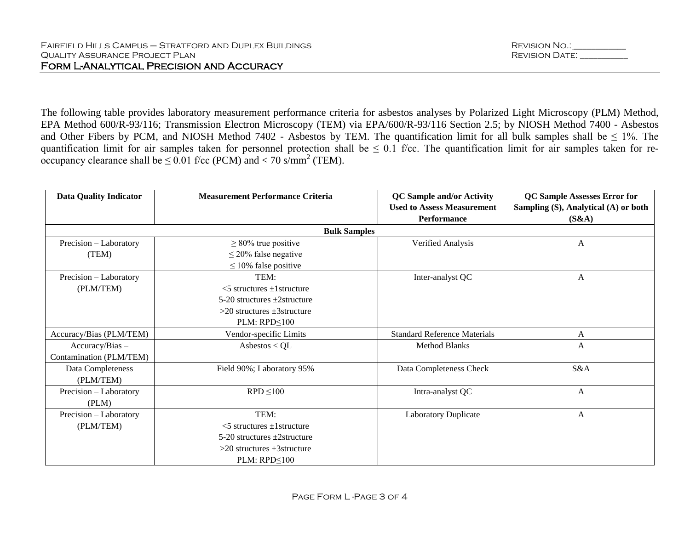| REVISION NO.:  |  |
|----------------|--|
| REVISION DATE: |  |

The following table provides laboratory measurement performance criteria for asbestos analyses by Polarized Light Microscopy (PLM) Method, EPA Method 600/R-93/116; Transmission Electron Microscopy (TEM) via EPA/600/R-93/116 Section 2.5; by NIOSH Method 7400 - Asbestos and Other Fibers by PCM, and NIOSH Method 7402 - Asbestos by TEM. The quantification limit for all bulk samples shall be  $\leq 1\%$ . The quantification limit for air samples taken for personnel protection shall be  $\leq 0.1$  f/cc. The quantification limit for air samples taken for reoccupancy clearance shall be  $\leq 0.01$  f/cc (PCM) and  $< 70$  s/mm<sup>2</sup> (TEM).

| <b>Data Quality Indicator</b> | <b>Measurement Performance Criteria</b> | <b>QC Sample and/or Activity</b>    | <b>QC Sample Assesses Error for</b>  |
|-------------------------------|-----------------------------------------|-------------------------------------|--------------------------------------|
|                               |                                         | <b>Used to Assess Measurement</b>   | Sampling (S), Analytical (A) or both |
|                               |                                         | <b>Performance</b>                  | (S&A)                                |
|                               | <b>Bulk Samples</b>                     |                                     |                                      |
| Precision - Laboratory        | $\geq$ 80% true positive                | Verified Analysis                   | A                                    |
| (TEM)                         | $\leq$ 20% false negative               |                                     |                                      |
|                               | $\leq$ 10% false positive               |                                     |                                      |
| Precision - Laboratory        | TEM:                                    | Inter-analyst QC                    | A                                    |
| (PLM/TEM)                     | $<$ 5 structures $\pm$ 1 structure      |                                     |                                      |
|                               | $5-20$ structures $+2$ structure        |                                     |                                      |
|                               | $>20$ structures $\pm 3$ structure      |                                     |                                      |
|                               | $PLM: RPD \leq 100$                     |                                     |                                      |
| Accuracy/Bias (PLM/TEM)       | Vendor-specific Limits                  | <b>Standard Reference Materials</b> | A                                    |
| $Accuracy/Bias -$             | Asbestos $< QL$                         | <b>Method Blanks</b>                | A                                    |
| Contamination (PLM/TEM)       |                                         |                                     |                                      |
| Data Completeness             | Field 90%; Laboratory 95%               | Data Completeness Check             | S&A                                  |
| (PLM/TEM)                     |                                         |                                     |                                      |
| Precision - Laboratory        | $RPD \leq 100$                          | Intra-analyst QC                    | $\mathbf{A}$                         |
| (PLM)                         |                                         |                                     |                                      |
| Precision - Laboratory        | TEM:                                    | <b>Laboratory Duplicate</b>         | A                                    |
| (PLM/TEM)                     | $<$ 5 structures $\pm$ 1 structure      |                                     |                                      |
|                               | $5-20$ structures $\pm 2$ structure     |                                     |                                      |
|                               | $>20$ structures $\pm 3$ structure      |                                     |                                      |
|                               | $PLM: RPD \leq 100$                     |                                     |                                      |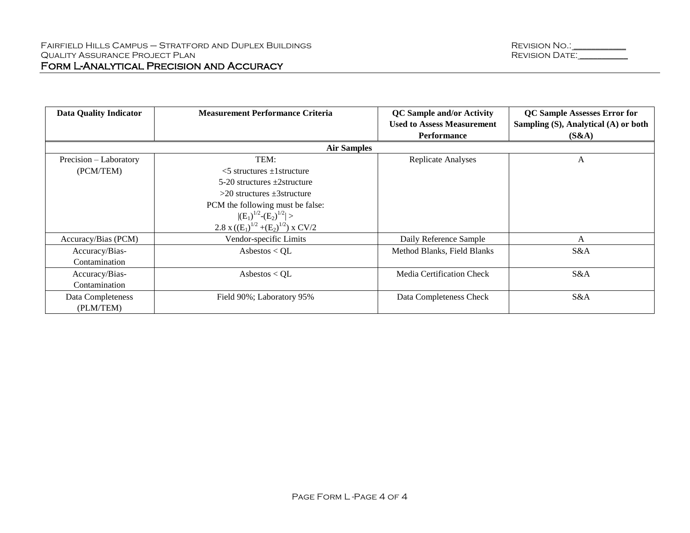| <b>Data Quality Indicator</b> | <b>Measurement Performance Criteria</b>    | <b>QC</b> Sample and/or Activity<br><b>Used to Assess Measurement</b> | <b>QC Sample Assesses Error for</b><br>Sampling (S), Analytical (A) or both |
|-------------------------------|--------------------------------------------|-----------------------------------------------------------------------|-----------------------------------------------------------------------------|
|                               |                                            | <b>Performance</b>                                                    | (S&A)                                                                       |
|                               | <b>Air Samples</b>                         |                                                                       |                                                                             |
| Precision – Laboratory        | TEM:                                       | Replicate Analyses                                                    | A                                                                           |
| (PCM/TEM)                     | $<$ 5 structures $\pm$ 1 structure         |                                                                       |                                                                             |
|                               | 5-20 structures $\pm 2$ structure          |                                                                       |                                                                             |
|                               | $>20$ structures $\pm 3$ structure         |                                                                       |                                                                             |
|                               | PCM the following must be false:           |                                                                       |                                                                             |
|                               | $ (E_1)^{1/2}-(E_2)^{1/2} >$               |                                                                       |                                                                             |
|                               | 2.8 x $((E_1)^{1/2} + (E_2)^{1/2})$ x CV/2 |                                                                       |                                                                             |
| Accuracy/Bias (PCM)           | Vendor-specific Limits                     | Daily Reference Sample                                                | A                                                                           |
| Accuracy/Bias-                | Asbestos < $QL$                            | Method Blanks, Field Blanks                                           | S&A                                                                         |
| Contamination                 |                                            |                                                                       |                                                                             |
| Accuracy/Bias-                | Asbestos < $QL$                            | Media Certification Check                                             | S&A                                                                         |
| Contamination                 |                                            |                                                                       |                                                                             |
| Data Completeness             | Field 90%; Laboratory 95%                  | Data Completeness Check                                               | S&A                                                                         |
| (PLM/TEM)                     |                                            |                                                                       |                                                                             |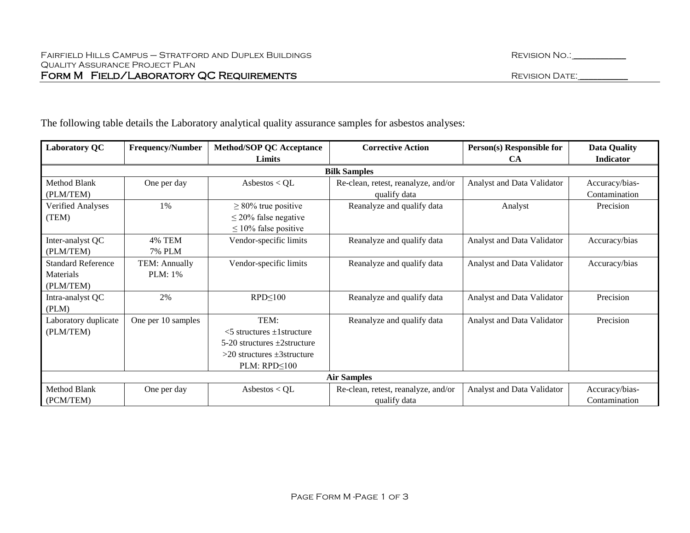| <b>Laboratory QC</b>      | <b>Frequency/Number</b> | <b>Method/SOP QC Acceptance</b>     | <b>Corrective Action</b>            | Person(s) Responsible for  | <b>Data Quality</b> |
|---------------------------|-------------------------|-------------------------------------|-------------------------------------|----------------------------|---------------------|
|                           |                         | Limits                              |                                     | CA                         | <b>Indicator</b>    |
|                           |                         |                                     | <b>Bilk Samples</b>                 |                            |                     |
| Method Blank              | One per day             | Asbestos < $QL$                     | Re-clean, retest, reanalyze, and/or | Analyst and Data Validator | Accuracy/bias-      |
| (PLM/TEM)                 |                         |                                     | qualify data                        |                            | Contamination       |
| Verified Analyses         | 1%                      | $\geq$ 80% true positive            | Reanalyze and qualify data          | Analyst                    | Precision           |
| (TEM)                     |                         | $\leq$ 20% false negative           |                                     |                            |                     |
|                           |                         | $\leq 10\%$ false positive          |                                     |                            |                     |
| Inter-analyst QC          | <b>4% TEM</b>           | Vendor-specific limits              | Reanalyze and qualify data          | Analyst and Data Validator | Accuracy/bias       |
| (PLM/TEM)                 | <b>7% PLM</b>           |                                     |                                     |                            |                     |
| <b>Standard Reference</b> | TEM: Annually           | Vendor-specific limits              | Reanalyze and qualify data          | Analyst and Data Validator | Accuracy/bias       |
| Materials                 | PLM: 1%                 |                                     |                                     |                            |                     |
| (PLM/TEM)                 |                         |                                     |                                     |                            |                     |
| Intra-analyst QC          | 2%                      | $RPD \leq 100$                      | Reanalyze and qualify data          | Analyst and Data Validator | Precision           |
| (PLM)                     |                         |                                     |                                     |                            |                     |
| Laboratory duplicate      | One per 10 samples      | TEM:                                | Reanalyze and qualify data          | Analyst and Data Validator | Precision           |
| (PLM/TEM)                 |                         | $<$ 5 structures $\pm$ 1 structure  |                                     |                            |                     |
|                           |                         | $5-20$ structures $\pm 2$ structure |                                     |                            |                     |
|                           |                         | $>20$ structures $\pm 3$ structure  |                                     |                            |                     |
|                           |                         | $PLM: RPD \leq 100$                 |                                     |                            |                     |
|                           |                         |                                     | <b>Air Samples</b>                  |                            |                     |
| Method Blank              | One per day             | Asbestos $\langle$ QL               | Re-clean, retest, reanalyze, and/or | Analyst and Data Validator | Accuracy/bias-      |
| (PCM/TEM)                 |                         |                                     | qualify data                        |                            | Contamination       |

The following table details the Laboratory analytical quality assurance samples for asbestos analyses: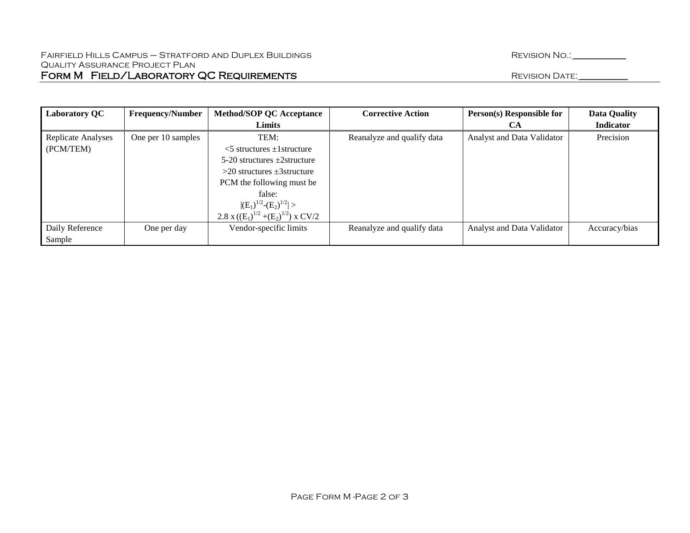| <b>Laboratory QC</b>            | <b>Frequency/Number</b> | <b>Method/SOP QC Acceptance</b>               | <b>Corrective Action</b>   | Person(s) Responsible for  | <b>Data Quality</b> |
|---------------------------------|-------------------------|-----------------------------------------------|----------------------------|----------------------------|---------------------|
|                                 |                         | Limits                                        |                            | CА                         | <b>Indicator</b>    |
| Replicate Analyses<br>(PCM/TEM) | One per 10 samples      | TEM:<br>$\leq$ 5 structures $\pm$ 1 structure | Reanalyze and qualify data | Analyst and Data Validator | Precision           |
|                                 |                         | 5-20 structures $\pm 2$ structure             |                            |                            |                     |
|                                 |                         | $>$ 20 structures $\pm$ 3 structure           |                            |                            |                     |
|                                 |                         | PCM the following must be                     |                            |                            |                     |
|                                 |                         | false:                                        |                            |                            |                     |
|                                 |                         | $ (E_1)^{1/2}-(E_2)^{1/2} >$                  |                            |                            |                     |
|                                 |                         | 2.8 x $((E_1)^{1/2} + (E_2)^{1/2})$ x CV/2    |                            |                            |                     |
| Daily Reference                 | One per day             | Vendor-specific limits                        | Reanalyze and qualify data | Analyst and Data Validator | Accuracy/bias       |
| Sample                          |                         |                                               |                            |                            |                     |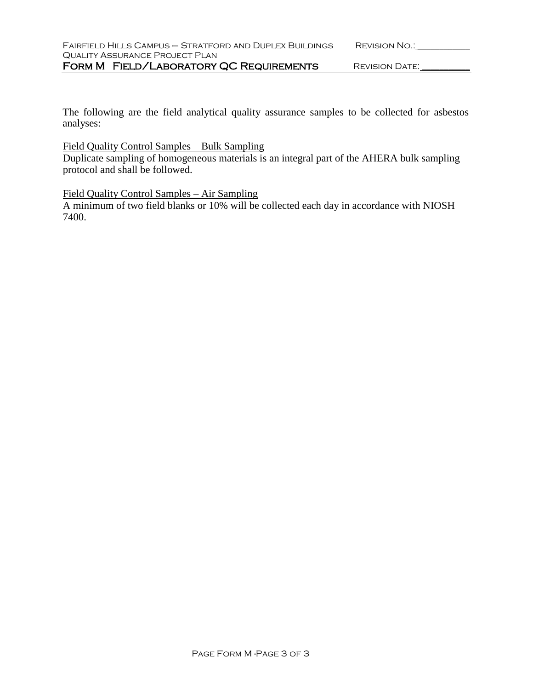The following are the field analytical quality assurance samples to be collected for asbestos analyses:

# Field Quality Control Samples – Bulk Sampling

Duplicate sampling of homogeneous materials is an integral part of the AHERA bulk sampling protocol and shall be followed.

## Field Quality Control Samples – Air Sampling

A minimum of two field blanks or 10% will be collected each day in accordance with NIOSH 7400.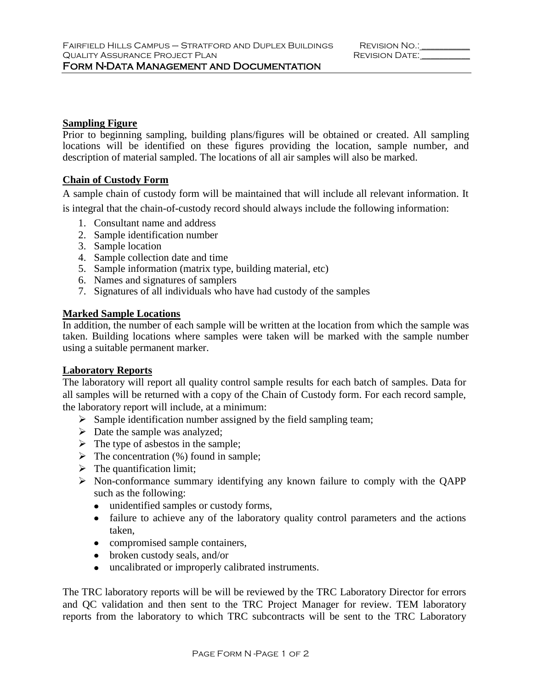## **Sampling Figure**

Prior to beginning sampling, building plans/figures will be obtained or created. All sampling locations will be identified on these figures providing the location, sample number, and description of material sampled. The locations of all air samples will also be marked.

## **Chain of Custody Form**

A sample chain of custody form will be maintained that will include all relevant information. It is integral that the chain-of-custody record should always include the following information:

- 1. Consultant name and address
- 2. Sample identification number
- 3. Sample location
- 4. Sample collection date and time
- 5. Sample information (matrix type, building material, etc)
- 6. Names and signatures of samplers
- 7. Signatures of all individuals who have had custody of the samples

## **Marked Sample Locations**

In addition, the number of each sample will be written at the location from which the sample was taken. Building locations where samples were taken will be marked with the sample number using a suitable permanent marker.

### **Laboratory Reports**

The laboratory will report all quality control sample results for each batch of samples. Data for all samples will be returned with a copy of the Chain of Custody form. For each record sample, the laboratory report will include, at a minimum:

- $\triangleright$  Sample identification number assigned by the field sampling team;
- $\triangleright$  Date the sample was analyzed;
- $\triangleright$  The type of asbestos in the sample;
- $\triangleright$  The concentration (%) found in sample;
- $\triangleright$  The quantification limit;
- $\triangleright$  Non-conformance summary identifying any known failure to comply with the QAPP such as the following:
	- unidentified samples or custody forms,
	- failure to achieve any of the laboratory quality control parameters and the actions taken,
	- compromised sample containers,
	- broken custody seals, and/or
	- uncalibrated or improperly calibrated instruments.

The TRC laboratory reports will be will be reviewed by the TRC Laboratory Director for errors and QC validation and then sent to the TRC Project Manager for review. TEM laboratory reports from the laboratory to which TRC subcontracts will be sent to the TRC Laboratory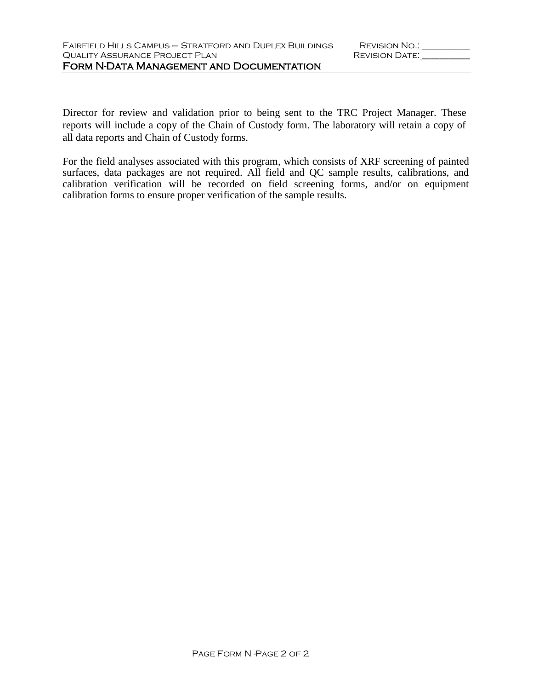Director for review and validation prior to being sent to the TRC Project Manager. These reports will include a copy of the Chain of Custody form. The laboratory will retain a copy of all data reports and Chain of Custody forms.

For the field analyses associated with this program, which consists of XRF screening of painted surfaces, data packages are not required. All field and QC sample results, calibrations, and calibration verification will be recorded on field screening forms, and/or on equipment calibration forms to ensure proper verification of the sample results.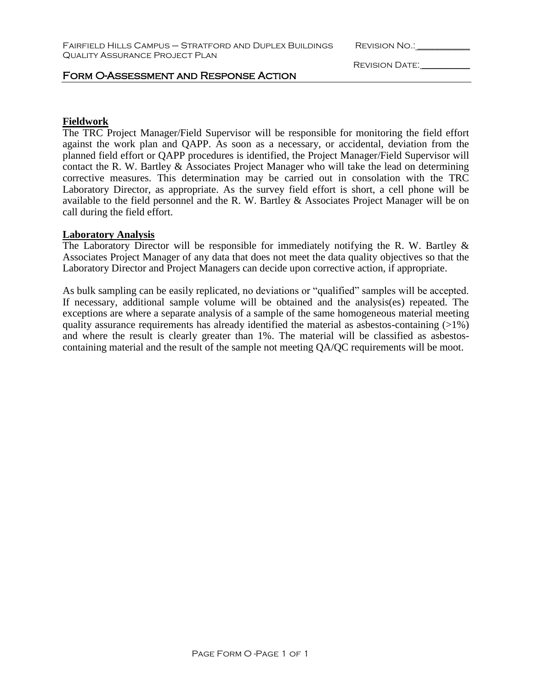Revision Date: \_\_\_\_\_\_\_\_\_\_\_

## Form O-Assessment and Response Action

## **Fieldwork**

The TRC Project Manager/Field Supervisor will be responsible for monitoring the field effort against the work plan and QAPP. As soon as a necessary, or accidental, deviation from the planned field effort or QAPP procedures is identified, the Project Manager/Field Supervisor will contact the R. W. Bartley & Associates Project Manager who will take the lead on determining corrective measures. This determination may be carried out in consolation with the TRC Laboratory Director, as appropriate. As the survey field effort is short, a cell phone will be available to the field personnel and the R. W. Bartley & Associates Project Manager will be on call during the field effort.

### **Laboratory Analysis**

The Laboratory Director will be responsible for immediately notifying the R. W. Bartley & Associates Project Manager of any data that does not meet the data quality objectives so that the Laboratory Director and Project Managers can decide upon corrective action, if appropriate.

As bulk sampling can be easily replicated, no deviations or "qualified" samples will be accepted. If necessary, additional sample volume will be obtained and the analysis(es) repeated. The exceptions are where a separate analysis of a sample of the same homogeneous material meeting quality assurance requirements has already identified the material as asbestos-containing  $(>1\%)$ and where the result is clearly greater than 1%. The material will be classified as asbestoscontaining material and the result of the sample not meeting QA/QC requirements will be moot.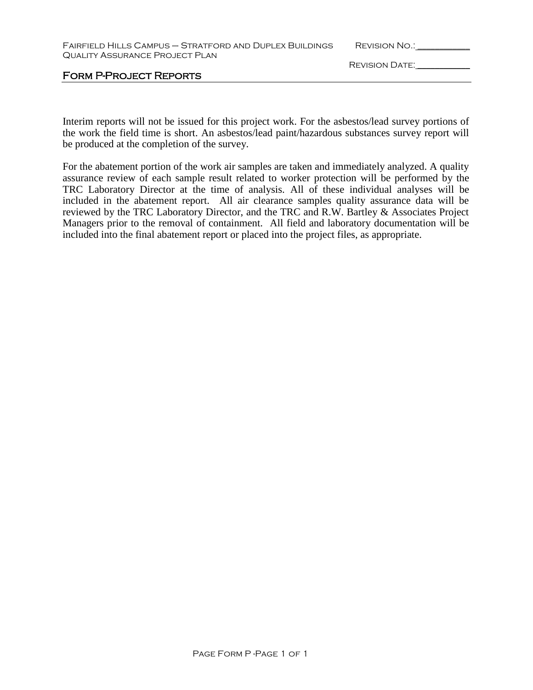| FAIRFIELD HILLS CAMPUS - STRATFORD AND DUPLEX BUILDINGS |
|---------------------------------------------------------|
| <b>QUALITY ASSURANCE PROJECT PLAN</b>                   |

REVISION NO.:  $\blacksquare$ 

FORM P-PROJECT REPORTS

Revision Date: \_\_\_\_\_\_\_\_\_\_\_\_

Interim reports will not be issued for this project work. For the asbestos/lead survey portions of the work the field time is short. An asbestos/lead paint/hazardous substances survey report will be produced at the completion of the survey.

For the abatement portion of the work air samples are taken and immediately analyzed. A quality assurance review of each sample result related to worker protection will be performed by the TRC Laboratory Director at the time of analysis. All of these individual analyses will be included in the abatement report. All air clearance samples quality assurance data will be reviewed by the TRC Laboratory Director, and the TRC and R.W. Bartley & Associates Project Managers prior to the removal of containment. All field and laboratory documentation will be included into the final abatement report or placed into the project files, as appropriate.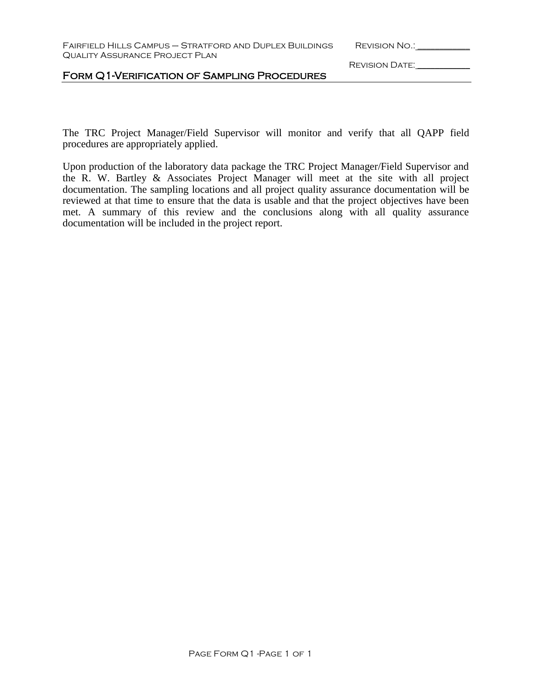Revision Date: \_\_\_\_\_\_\_\_\_\_\_\_

## Form Q1-Verification of Sampling Procedures

The TRC Project Manager/Field Supervisor will monitor and verify that all QAPP field procedures are appropriately applied.

Upon production of the laboratory data package the TRC Project Manager/Field Supervisor and the R. W. Bartley & Associates Project Manager will meet at the site with all project documentation. The sampling locations and all project quality assurance documentation will be reviewed at that time to ensure that the data is usable and that the project objectives have been met. A summary of this review and the conclusions along with all quality assurance documentation will be included in the project report.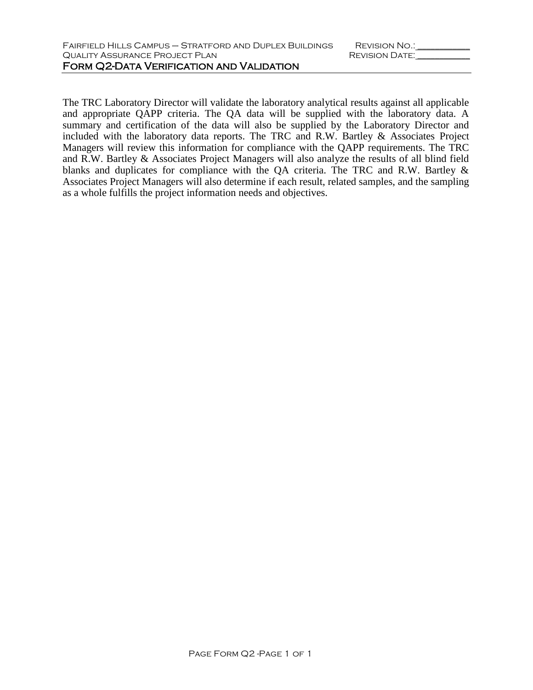The TRC Laboratory Director will validate the laboratory analytical results against all applicable and appropriate QAPP criteria. The QA data will be supplied with the laboratory data. A summary and certification of the data will also be supplied by the Laboratory Director and included with the laboratory data reports. The TRC and R.W. Bartley & Associates Project Managers will review this information for compliance with the QAPP requirements. The TRC and R.W. Bartley & Associates Project Managers will also analyze the results of all blind field blanks and duplicates for compliance with the QA criteria. The TRC and R.W. Bartley & Associates Project Managers will also determine if each result, related samples, and the sampling as a whole fulfills the project information needs and objectives.